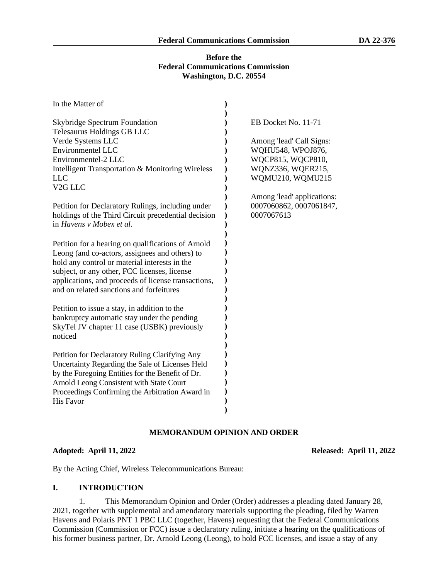## **Before the Federal Communications Commission Washington, D.C. 20554**

| In the Matter of                                                                                |                            |
|-------------------------------------------------------------------------------------------------|----------------------------|
| <b>Skybridge Spectrum Foundation</b><br>Telesaurus Holdings GB LLC                              | EB Docket No. 11-71        |
| Verde Systems LLC                                                                               | Among 'lead' Call Signs:   |
| <b>Environmentel LLC</b>                                                                        | WQHU548, WPOJ876,          |
| Environmentel-2 LLC                                                                             | WQCP815, WQCP810,          |
| Intelligent Transportation & Monitoring Wireless                                                | WQNZ336, WQER215,          |
| <b>LLC</b>                                                                                      | WQMU210, WQMU215           |
| V <sub>2G</sub> LLC                                                                             |                            |
|                                                                                                 | Among 'lead' applications: |
| Petition for Declaratory Rulings, including under                                               | 0007060862, 0007061847,    |
| holdings of the Third Circuit precedential decision                                             | 0007067613                 |
| in Havens v Mobex et al.                                                                        |                            |
|                                                                                                 |                            |
| Petition for a hearing on qualifications of Arnold                                              |                            |
| Leong (and co-actors, assignees and others) to                                                  |                            |
| hold any control or material interests in the                                                   |                            |
| subject, or any other, FCC licenses, license                                                    |                            |
| applications, and proceeds of license transactions,<br>and on related sanctions and forfeitures |                            |
|                                                                                                 |                            |
| Petition to issue a stay, in addition to the                                                    |                            |
| bankruptcy automatic stay under the pending                                                     |                            |
| SkyTel JV chapter 11 case (USBK) previously                                                     |                            |
| noticed                                                                                         |                            |
|                                                                                                 |                            |
| Petition for Declaratory Ruling Clarifying Any                                                  |                            |
| Uncertainty Regarding the Sale of Licenses Held                                                 |                            |
| by the Foregoing Entities for the Benefit of Dr.                                                |                            |
| Arnold Leong Consistent with State Court                                                        |                            |
| Proceedings Confirming the Arbitration Award in                                                 |                            |
| <b>His Favor</b>                                                                                |                            |
|                                                                                                 |                            |

## **MEMORANDUM OPINION AND ORDER**

### **Adopted: April 11, 2022 Released: April 11, 2022**

By the Acting Chief, Wireless Telecommunications Bureau:

#### **I. INTRODUCTION**

1. This Memorandum Opinion and Order (Order) addresses a pleading dated January 28, 2021, together with supplemental and amendatory materials supporting the pleading, filed by Warren Havens and Polaris PNT 1 PBC LLC (together, Havens) requesting that the Federal Communications Commission (Commission or FCC) issue a declaratory ruling, initiate a hearing on the qualifications of his former business partner, Dr. Arnold Leong (Leong), to hold FCC licenses, and issue a stay of any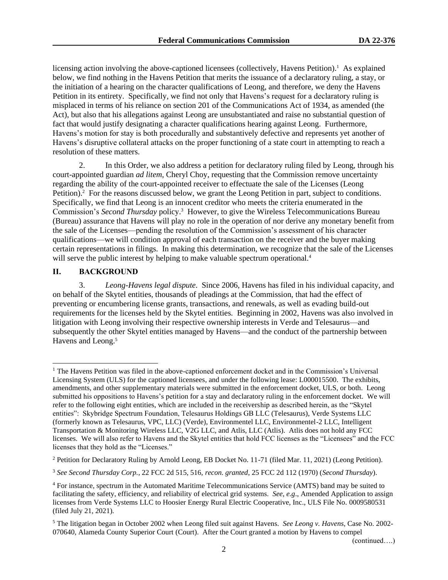licensing action involving the above-captioned licensees (collectively, Havens Petition).<sup>1</sup> As explained below, we find nothing in the Havens Petition that merits the issuance of a declaratory ruling, a stay, or the initiation of a hearing on the character qualifications of Leong, and therefore, we deny the Havens Petition in its entirety. Specifically, we find not only that Havens's request for a declaratory ruling is misplaced in terms of his reliance on section 201 of the Communications Act of 1934, as amended (the Act), but also that his allegations against Leong are unsubstantiated and raise no substantial question of fact that would justify designating a character qualifications hearing against Leong. Furthermore, Havens's motion for stay is both procedurally and substantively defective and represents yet another of Havens's disruptive collateral attacks on the proper functioning of a state court in attempting to reach a resolution of these matters.

2. In this Order, we also address a petition for declaratory ruling filed by Leong, through his court-appointed guardian *ad litem*, Cheryl Choy, requesting that the Commission remove uncertainty regarding the ability of the court-appointed receiver to effectuate the sale of the Licenses (Leong Petition).<sup>2</sup> For the reasons discussed below, we grant the Leong Petition in part, subject to conditions. Specifically, we find that Leong is an innocent creditor who meets the criteria enumerated in the Commission's *Second Thursday* policy.<sup>3</sup> However, to give the Wireless Telecommunications Bureau (Bureau) assurance that Havens will play no role in the operation of nor derive any monetary benefit from the sale of the Licenses—pending the resolution of the Commission's assessment of his character qualifications—we will condition approval of each transaction on the receiver and the buyer making certain representations in filings. In making this determination, we recognize that the sale of the Licenses will serve the public interest by helping to make valuable spectrum operational.<sup>4</sup>

## **II. BACKGROUND**

3. *Leong-Havens legal dispute*. Since 2006, Havens has filed in his individual capacity, and on behalf of the Skytel entities, thousands of pleadings at the Commission, that had the effect of preventing or encumbering license grants, transactions, and renewals, as well as evading build-out requirements for the licenses held by the Skytel entities. Beginning in 2002, Havens was also involved in litigation with Leong involving their respective ownership interests in Verde and Telesaurus—and subsequently the other Skytel entities managed by Havens—and the conduct of the partnership between Havens and Leong.<sup>5</sup>

(continued….)

 $<sup>1</sup>$  The Havens Petition was filed in the above-captioned enforcement docket and in the Commission's Universal</sup> Licensing System (ULS) for the captioned licensees, and under the following lease: L000015500. The exhibits, amendments, and other supplementary materials were submitted in the enforcement docket, ULS, or both. Leong submitted his oppositions to Havens's petition for a stay and declaratory ruling in the enforcement docket. We will refer to the following eight entities, which are included in the receivership as described herein, as the "Skytel entities": Skybridge Spectrum Foundation, Telesaurus Holdings GB LLC (Telesaurus), Verde Systems LLC (formerly known as Telesaurus, VPC, LLC) (Verde), Environmentel LLC, Environmentel-2 LLC, Intelligent Transportation & Monitoring Wireless LLC, V2G LLC, and Atlis, LLC (Atlis). Atlis does not hold any FCC licenses. We will also refer to Havens and the Skytel entities that hold FCC licenses as the "Licensees" and the FCC licenses that they hold as the "Licenses."

<sup>&</sup>lt;sup>2</sup> Petition for Declaratory Ruling by Arnold Leong, EB Docket No. 11-71 (filed Mar. 11, 2021) (Leong Petition).

<sup>3</sup> *See Second Thursday Corp.*, 22 FCC 2d 515, 516, *recon. granted*, 25 FCC 2d 112 (1970) (*Second Thursday*).

<sup>4</sup> For instance, spectrum in the Automated Maritime Telecommunications Service (AMTS) band may be suited to facilitating the safety, efficiency, and reliability of electrical grid systems. *See*, *e.g*., Amended Application to assign licenses from Verde Systems LLC to Hoosier Energy Rural Electric Cooperative, Inc., ULS File No. 0009580531 (filed July 21, 2021).

<sup>5</sup> The litigation began in October 2002 when Leong filed suit against Havens. *See Leong v. Havens*, Case No. 2002- 070640, Alameda County Superior Court (Court). After the Court granted a motion by Havens to compel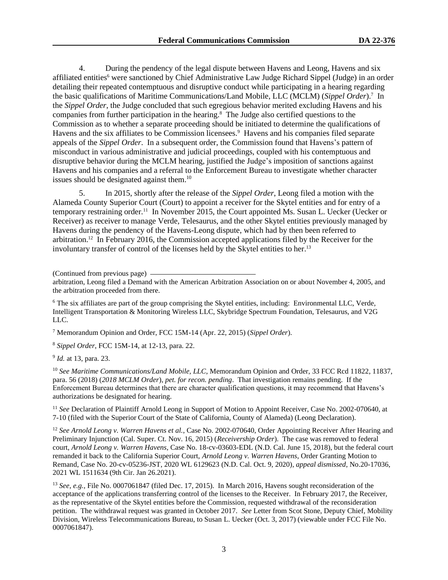4. During the pendency of the legal dispute between Havens and Leong, Havens and six affiliated entities<sup>6</sup> were sanctioned by Chief Administrative Law Judge Richard Sippel (Judge) in an order detailing their repeated contemptuous and disruptive conduct while participating in a hearing regarding the basic qualifications of Maritime Communications/Land Mobile, LLC (MCLM) (*Sippel Order*).<sup>7</sup> In the *Sippel Order*, the Judge concluded that such egregious behavior merited excluding Havens and his companies from further participation in the hearing.<sup>8</sup> The Judge also certified questions to the Commission as to whether a separate proceeding should be initiated to determine the qualifications of Havens and the six affiliates to be Commission licensees.<sup>9</sup> Havens and his companies filed separate appeals of the *Sippel Order*. In a subsequent order, the Commission found that Havens's pattern of misconduct in various administrative and judicial proceedings, coupled with his contemptuous and disruptive behavior during the MCLM hearing, justified the Judge's imposition of sanctions against Havens and his companies and a referral to the Enforcement Bureau to investigate whether character issues should be designated against them. 10

5. In 2015, shortly after the release of the *Sippel Order*, Leong filed a motion with the Alameda County Superior Court (Court) to appoint a receiver for the Skytel entities and for entry of a temporary restraining order.<sup>11</sup> In November 2015, the Court appointed Ms. Susan L. Uecker (Uecker or Receiver) as receiver to manage Verde, Telesaurus, and the other Skytel entities previously managed by Havens during the pendency of the Havens-Leong dispute, which had by then been referred to arbitration.<sup>12</sup> In February 2016, the Commission accepted applications filed by the Receiver for the involuntary transfer of control of the licenses held by the Skytel entities to her.<sup>13</sup>

(Continued from previous page)

arbitration, Leong filed a Demand with the American Arbitration Association on or about November 4, 2005, and the arbitration proceeded from there.

<sup>6</sup> The six affiliates are part of the group comprising the Skytel entities, including: Environmental LLC, Verde, Intelligent Transportation & Monitoring Wireless LLC, Skybridge Spectrum Foundation, Telesaurus, and V2G LLC.

<sup>7</sup> Memorandum Opinion and Order, FCC 15M-14 (Apr. 22, 2015) (*Sippel Order*).

<sup>8</sup> *Sippel Order*, FCC 15M-14, at 12-13, para. 22.

9 *Id.* at 13, para. 23.

<sup>10</sup> *See Maritime Communications/Land Mobile, LLC*, Memorandum Opinion and Order, 33 FCC Rcd 11822, 11837, para. 56 (2018) (*2018 MCLM Order*), *pet. for recon. pending*. That investigation remains pending. If the Enforcement Bureau determines that there are character qualification questions, it may recommend that Havens's authorizations be designated for hearing.

<sup>11</sup> See Declaration of Plaintiff Arnold Leong in Support of Motion to Appoint Receiver, Case No. 2002-070640, at 7-10 (filed with the Superior Court of the State of California, County of Alameda) (Leong Declaration).

<sup>12</sup> *See Arnold Leong v. Warren Havens et al.*, Case No. 2002-070640, Order Appointing Receiver After Hearing and Preliminary Injunction (Cal. Super. Ct. Nov. 16, 2015) (*Receivership Order*). The case was removed to federal court, *Arnold Leong v. Warren Havens*, Case No. 18-cv-03603-EDL (N.D. Cal. June 15, 2018), but the federal court remanded it back to the California Superior Court, *Arnold Leong v. Warren Havens*, Order Granting Motion to Remand, Case No. 20-cv-05236-JST, 2020 WL 6129623 (N.D. Cal. Oct. 9, 2020)*, appeal dismissed*, No.20-17036, 2021 WL 1511634 (9th Cir. Jan 26.2021).

<sup>13</sup> *See, e.g.,* File No. 0007061847 (filed Dec. 17, 2015). In March 2016, Havens sought reconsideration of the acceptance of the applications transferring control of the licenses to the Receiver. In February 2017, the Receiver, as the representative of the Skytel entities before the Commission, requested withdrawal of the reconsideration petition. The withdrawal request was granted in October 2017. *See* Letter from Scot Stone, Deputy Chief, Mobility Division, Wireless Telecommunications Bureau, to Susan L. Uecker (Oct. 3, 2017) (viewable under FCC File No. 0007061847).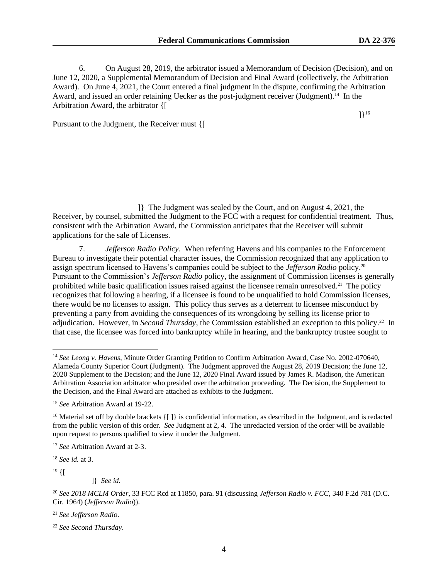]}<sup>16</sup>

6. On August 28, 2019, the arbitrator issued a Memorandum of Decision (Decision), and on June 12, 2020, a Supplemental Memorandum of Decision and Final Award (collectively, the Arbitration Award). On June 4, 2021, the Court entered a final judgment in the dispute, confirming the Arbitration Award, and issued an order retaining Uecker as the post-judgment receiver (Judgment).<sup>14</sup> In the Arbitration Award, the arbitrator {[

Pursuant to the Judgment, the Receiver must {[

]} The Judgment was sealed by the Court, and on August 4, 2021, the Receiver, by counsel, submitted the Judgment to the FCC with a request for confidential treatment. Thus, consistent with the Arbitration Award, the Commission anticipates that the Receiver will submit applications for the sale of Licenses.

7. *Jefferson Radio Policy*. When referring Havens and his companies to the Enforcement Bureau to investigate their potential character issues, the Commission recognized that any application to assign spectrum licensed to Havens's companies could be subject to the *Jefferson Radio* policy.<sup>20</sup> Pursuant to the Commission's *Jefferson Radio* policy, the assignment of Commission licenses is generally prohibited while basic qualification issues raised against the licensee remain unresolved.<sup>21</sup> The policy recognizes that following a hearing, if a licensee is found to be unqualified to hold Commission licenses, there would be no licenses to assign. This policy thus serves as a deterrent to licensee misconduct by preventing a party from avoiding the consequences of its wrongdoing by selling its license prior to adjudication. However, in *Second Thursday*, the Commission established an exception to this policy.<sup>22</sup> In that case, the licensee was forced into bankruptcy while in hearing, and the bankruptcy trustee sought to

<sup>18</sup> *See id.* at 3.

 $19 \{$ [

]} *See id.* 

<sup>21</sup> *See Jefferson Radio*.

<sup>&</sup>lt;sup>14</sup> See Leong v. Havens, Minute Order Granting Petition to Confirm Arbitration Award, Case No. 2002-070640, Alameda County Superior Court (Judgment). The Judgment approved the August 28, 2019 Decision; the June 12, 2020 Supplement to the Decision; and the June 12, 2020 Final Award issued by James R. Madison, the American Arbitration Association arbitrator who presided over the arbitration proceeding. The Decision, the Supplement to the Decision, and the Final Award are attached as exhibits to the Judgment.

<sup>15</sup> *See* Arbitration Award at 19-22.

<sup>&</sup>lt;sup>16</sup> Material set off by double brackets  $\{[\ ]\}$  is confidential information, as described in the Judgment, and is redacted from the public version of this order. *See* Judgment at 2, 4. The unredacted version of the order will be available upon request to persons qualified to view it under the Judgment.

<sup>17</sup> *See* Arbitration Award at 2-3.

<sup>20</sup> *See 2018 MCLM Order*, 33 FCC Rcd at 11850, para. 91 (discussing *Jefferson Radio v. FCC*, 340 F.2d 781 (D.C. Cir. 1964) (*Jefferson Radio*)).

<sup>22</sup> *See Second Thursday*.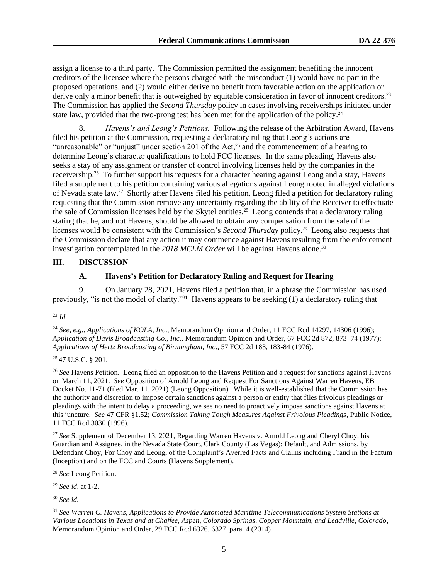assign a license to a third party. The Commission permitted the assignment benefiting the innocent creditors of the licensee where the persons charged with the misconduct (1) would have no part in the proposed operations, and (2) would either derive no benefit from favorable action on the application or derive only a minor benefit that is outweighed by equitable consideration in favor of innocent creditors.<sup>23</sup> The Commission has applied the *Second Thursday* policy in cases involving receiverships initiated under state law, provided that the two-prong test has been met for the application of the policy.<sup>24</sup>

8. *Havens's and Leong's Petitions.* Following the release of the Arbitration Award, Havens filed his petition at the Commission, requesting a declaratory ruling that Leong's actions are "unreasonable" or "unjust" under section 201 of the Act,<sup>25</sup> and the commencement of a hearing to determine Leong's character qualifications to hold FCC licenses. In the same pleading, Havens also seeks a stay of any assignment or transfer of control involving licenses held by the companies in the receivership.<sup>26</sup> To further support his requests for a character hearing against Leong and a stay, Havens filed a supplement to his petition containing various allegations against Leong rooted in alleged violations of Nevada state law.<sup>27</sup> Shortly after Havens filed his petition, Leong filed a petition for declaratory ruling requesting that the Commission remove any uncertainty regarding the ability of the Receiver to effectuate the sale of Commission licenses held by the Skytel entities. 28 Leong contends that a declaratory ruling stating that he, and not Havens, should be allowed to obtain any compensation from the sale of the licenses would be consistent with the Commission's *Second Thursday* policy.<sup>29</sup> Leong also requests that the Commission declare that any action it may commence against Havens resulting from the enforcement investigation contemplated in the 2018 MCLM Order will be against Havens alone.<sup>30</sup>

#### **III. DISCUSSION**

## **A. Havens's Petition for Declaratory Ruling and Request for Hearing**

9. On January 28, 2021, Havens filed a petition that, in a phrase the Commission has used previously, "is not the model of clarity."<sup>31</sup> Havens appears to be seeking (1) a declaratory ruling that

<sup>25</sup> 47 U.S.C. § 201.

<sup>26</sup> *See* Havens Petition. Leong filed an opposition to the Havens Petition and a request for sanctions against Havens on March 11, 2021. *See* Opposition of Arnold Leong and Request For Sanctions Against Warren Havens, EB Docket No. 11-71 (filed Mar. 11, 2021) (Leong Opposition). While it is well-established that the Commission has the authority and discretion to impose certain sanctions against a person or entity that files frivolous pleadings or pleadings with the intent to delay a proceeding, we see no need to proactively impose sanctions against Havens at this juncture. *See* 47 CFR §1.52; *Commission Taking Tough Measures Against Frivolous Pleadings*, Public Notice, 11 FCC Rcd 3030 (1996).

<sup>27</sup> *See* Supplement of December 13, 2021, Regarding Warren Havens v. Arnold Leong and Cheryl Choy, his Guardian and Assignee, in the Nevada State Court, Clark County (Las Vegas): Default, and Admissions, by Defendant Choy, For Choy and Leong, of the Complaint's Averred Facts and Claims including Fraud in the Factum (Inception) and on the FCC and Courts (Havens Supplement).

<sup>28</sup> *See* Leong Petition.

<sup>29</sup> *See id*. at 1-2.

<sup>30</sup> *See id.* 

<sup>23</sup> *Id.*

<sup>24</sup> *See, e.g.*, *Applications of KOLA, Inc*., Memorandum Opinion and Order, 11 FCC Rcd 14297, 14306 (1996); *Application of Davis Broadcasting Co., Inc.,* Memorandum Opinion and Order, 67 FCC 2d 872, 873–74 (1977); *Applications of Hertz Broadcasting of Birmingham, Inc*., 57 FCC 2d 183, 183-84 (1976).

<sup>31</sup> *See Warren C. Havens, Applications to Provide Automated Maritime Telecommunications System Stations at Various Locations in Texas and at Chaffee, Aspen, Colorado Springs, Copper Mountain, and Leadville, Colorado*, Memorandum Opinion and Order, 29 FCC Rcd 6326, 6327, para. 4 (2014).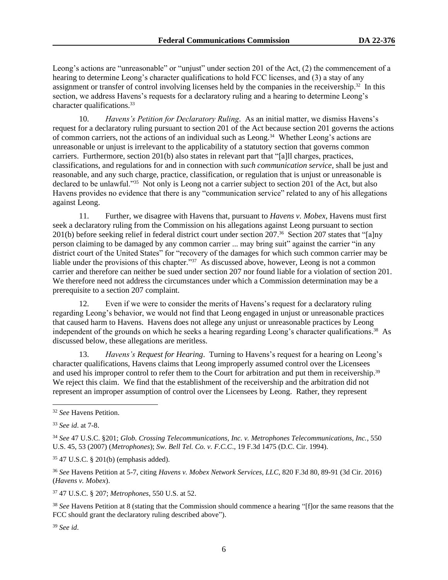Leong's actions are "unreasonable" or "unjust" under section 201 of the Act, (2) the commencement of a hearing to determine Leong's character qualifications to hold FCC licenses, and (3) a stay of any assignment or transfer of control involving licenses held by the companies in the receivership.<sup>32</sup> In this section, we address Havens's requests for a declaratory ruling and a hearing to determine Leong's character qualifications.<sup>33</sup>

10. *Havens's Petition for Declaratory Ruling*. As an initial matter, we dismiss Havens's request for a declaratory ruling pursuant to section 201 of the Act because section 201 governs the actions of common carriers, not the actions of an individual such as Leong.<sup>34</sup> Whether Leong's actions are unreasonable or unjust is irrelevant to the applicability of a statutory section that governs common carriers. Furthermore, section 201(b) also states in relevant part that "[a]ll charges, practices, classifications, and regulations for and in connection with *such communication service*, shall be just and reasonable, and any such charge, practice, classification, or regulation that is unjust or unreasonable is declared to be unlawful."<sup>35</sup> Not only is Leong not a carrier subject to section 201 of the Act, but also Havens provides no evidence that there is any "communication service" related to any of his allegations against Leong.

11. Further, we disagree with Havens that, pursuant to *Havens v. Mobex*, Havens must first seek a declaratory ruling from the Commission on his allegations against Leong pursuant to section 201(b) before seeking relief in federal district court under section 207.<sup>36</sup> Section 207 states that "[a]ny person claiming to be damaged by any common carrier ... may bring suit" against the carrier "in any district court of the United States" for "recovery of the damages for which such common carrier may be liable under the provisions of this chapter."<sup>37</sup> As discussed above, however, Leong is not a common carrier and therefore can neither be sued under section 207 nor found liable for a violation of section 201. We therefore need not address the circumstances under which a Commission determination may be a prerequisite to a section 207 complaint.

12. Even if we were to consider the merits of Havens's request for a declaratory ruling regarding Leong's behavior, we would not find that Leong engaged in unjust or unreasonable practices that caused harm to Havens. Havens does not allege any unjust or unreasonable practices by Leong independent of the grounds on which he seeks a hearing regarding Leong's character qualifications. 38 As discussed below, these allegations are meritless.

13. *Havens's Request for Hearing*. Turning to Havens's request for a hearing on Leong's character qualifications, Havens claims that Leong improperly assumed control over the Licensees and used his improper control to refer them to the Court for arbitration and put them in receivership.<sup>39</sup> We reject this claim. We find that the establishment of the receivership and the arbitration did not represent an improper assumption of control over the Licensees by Leong. Rather, they represent

<sup>35</sup> 47 U.S.C. § 201(b) (emphasis added).

<sup>36</sup> *See* Havens Petition at 5-7, citing *Havens v. Mobex Network Services, LLC,* 820 F.3d 80, 89-91 (3d Cir. 2016) (*Havens v. Mobex*).

<sup>37</sup> 47 U.S.C. § 207; *Metrophones*, 550 U.S. at 52.

<sup>38</sup> *See* Havens Petition at 8 (stating that the Commission should commence a hearing "[f]or the same reasons that the FCC should grant the declaratory ruling described above").

<sup>39</sup> *See id*.

<sup>32</sup> *See* Havens Petition.

<sup>33</sup> *See id*. at 7-8.

<sup>34</sup> *See* 47 U.S.C. §201; *Glob. Crossing Telecommunications, Inc. v. Metrophones Telecommunications, Inc.*, 550 U.S. 45, 53 (2007) (*Metrophones*); *Sw. Bell Tel. Co. v. F.C.C*., 19 F.3d 1475 (D.C. Cir. 1994).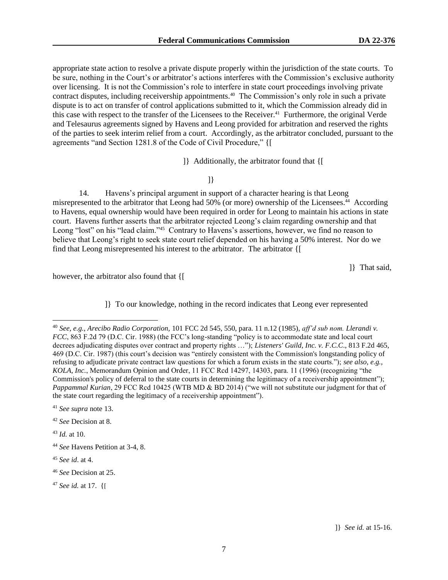appropriate state action to resolve a private dispute properly within the jurisdiction of the state courts. To be sure, nothing in the Court's or arbitrator's actions interferes with the Commission's exclusive authority over licensing. It is not the Commission's role to interfere in state court proceedings involving private contract disputes, including receivership appointments.<sup>40</sup> The Commission's only role in such a private dispute is to act on transfer of control applications submitted to it, which the Commission already did in this case with respect to the transfer of the Licensees to the Receiver.<sup>41</sup> Furthermore, the original Verde and Telesaurus agreements signed by Havens and Leong provided for arbitration and reserved the rights of the parties to seek interim relief from a court. Accordingly, as the arbitrator concluded, pursuant to the agreements "and Section 1281.8 of the Code of Civil Procedure," {[

]} Additionally, the arbitrator found that {[

]}

14. Havens's principal argument in support of a character hearing is that Leong misrepresented to the arbitrator that Leong had 50% (or more) ownership of the Licensees.<sup>44</sup> According to Havens, equal ownership would have been required in order for Leong to maintain his actions in state court. Havens further asserts that the arbitrator rejected Leong's claim regarding ownership and that Leong "lost" on his "lead claim."<sup>45</sup> Contrary to Havens's assertions, however, we find no reason to believe that Leong's right to seek state court relief depended on his having a 50% interest. Nor do we find that Leong misrepresented his interest to the arbitrator. The arbitrator {[

]} That said,

however, the arbitrator also found that  $\{$ [

]} To our knowledge, nothing in the record indicates that Leong ever represented

<sup>42</sup> *See* Decision at 8.

<sup>43</sup> *Id.* at 10.

<sup>40</sup> *See, e.g., Arecibo Radio Corporation,* 101 FCC 2d 545, 550, para. 11 n.12 (1985), *aff'd sub nom. Llerandi v. FCC*, 863 F.2d 79 (D.C. Cir. 1988) (the FCC's long-standing "policy is to accommodate state and local court decrees adjudicating disputes over contract and property rights …"); *Listeners' Guild, Inc. v. F.C.C*., 813 F.2d 465, 469 (D.C. Cir. 1987) (this court's decision was "entirely consistent with the Commission's longstanding policy of refusing to adjudicate private contract law questions for which a forum exists in the state courts."); *see also, e.g., KOLA, Inc.*, Memorandum Opinion and Order, 11 FCC Rcd 14297, 14303, para. 11 (1996) (recognizing "the Commission's policy of deferral to the state courts in determining the legitimacy of a receivership appointment"); *Pappammal Kurian*, 29 FCC Rcd 10425 (WTB MD & BD 2014) ("we will not substitute our judgment for that of the state court regarding the legitimacy of a receivership appointment").

<sup>41</sup> *See supra* note 13.

<sup>44</sup> *See* Havens Petition at 3-4, 8.

<sup>45</sup> *See id*. at 4.

<sup>46</sup> *See* Decision at 25.

<sup>47</sup> *See id.* at 17. {[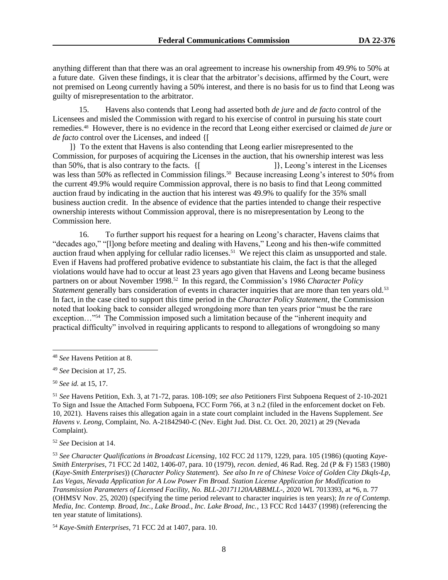anything different than that there was an oral agreement to increase his ownership from 49.9% to 50% at a future date. Given these findings, it is clear that the arbitrator's decisions, affirmed by the Court, were not premised on Leong currently having a 50% interest, and there is no basis for us to find that Leong was guilty of misrepresentation to the arbitrator.

15. Havens also contends that Leong had asserted both *de jure* and *de facto* control of the Licensees and misled the Commission with regard to his exercise of control in pursuing his state court remedies.<sup>48</sup> However, there is no evidence in the record that Leong either exercised or claimed *de jure* or *de facto* control over the Licenses, and indeed {[

]} To the extent that Havens is also contending that Leong earlier misrepresented to the Commission, for purposes of acquiring the Licenses in the auction, that his ownership interest was less than 50%, that is also contrary to the facts.  $\{$  [  $]$ }, Leong's interest in the Licenses was less than 50% as reflected in Commission filings.<sup>50</sup> Because increasing Leong's interest to 50% from the current 49.9% would require Commission approval, there is no basis to find that Leong committed auction fraud by indicating in the auction that his interest was 49.9% to qualify for the 35% small business auction credit. In the absence of evidence that the parties intended to change their respective ownership interests without Commission approval, there is no misrepresentation by Leong to the Commission here.

16. To further support his request for a hearing on Leong's character, Havens claims that "decades ago," "[l]ong before meeting and dealing with Havens," Leong and his then-wife committed auction fraud when applying for cellular radio licenses.<sup>51</sup> We reject this claim as unsupported and stale. Even if Havens had proffered probative evidence to substantiate his claim, the fact is that the alleged violations would have had to occur at least 23 years ago given that Havens and Leong became business partners on or about November 1998.<sup>52</sup> In this regard, the Commission's 1986 *Character Policy Statement* generally bars consideration of events in character inquiries that are more than ten years old.<sup>53</sup> In fact, in the case cited to support this time period in the *Character Policy Statement*, the Commission noted that looking back to consider alleged wrongdoing more than ten years prior "must be the rare exception..."<sup>54</sup> The Commission imposed such a limitation because of the "inherent inequity and practical difficulty" involved in requiring applicants to respond to allegations of wrongdoing so many

<sup>50</sup> *See id.* at 15, 17.

<sup>51</sup> *See* Havens Petition, Exh. 3, at 71-72, paras. 108-109; *see also* Petitioners First Subpoena Request of 2-10-2021 To Sign and Issue the Attached Form Subpoena, FCC Form 766, at 3 n.2 (filed in the enforcement docket on Feb. 10, 2021). Havens raises this allegation again in a state court complaint included in the Havens Supplement. *See Havens v. Leong*, Complaint, No. A-21842940-C (Nev. Eight Jud. Dist. Ct. Oct. 20, 2021) at 29 (Nevada Complaint).

<sup>52</sup> *See* Decision at 14.

<sup>48</sup> *See* Havens Petition at 8.

<sup>49</sup> *See* Decision at 17, 25.

<sup>53</sup> *See Character Qualifications in Broadcast Licensing*, 102 FCC 2d 1179, 1229, para. 105 (1986) (quoting *Kaye-Smith Enterprises*, 71 FCC 2d 1402, 1406-07, para. 10 (1979), *recon. denied*, 46 Rad. Reg. 2d (P & F) 1583 (1980) (*Kaye-Smith Enterprises*)) (*Character Policy Statement*). *See also In re of Chinese Voice of Golden City Dkqls-Lp, Las Vegas, Nevada Application for A Low Power Fm Broad. Station License Application for Modification to Transmission Parameters of Licensed Facility, No. BLL-20171120AABBMLL-*, 2020 WL 7013393, at \*6, n. 77 (OHMSV Nov. 25, 2020) (specifying the time period relevant to character inquiries is ten years); *In re of Contemp. Media, Inc. Contemp. Broad, Inc., Lake Broad., Inc. Lake Broad, Inc.*, 13 FCC Rcd 14437 (1998) (referencing the ten year statute of limitations).

<sup>54</sup> *Kaye-Smith Enterprises*, 71 FCC 2d at 1407, para. 10.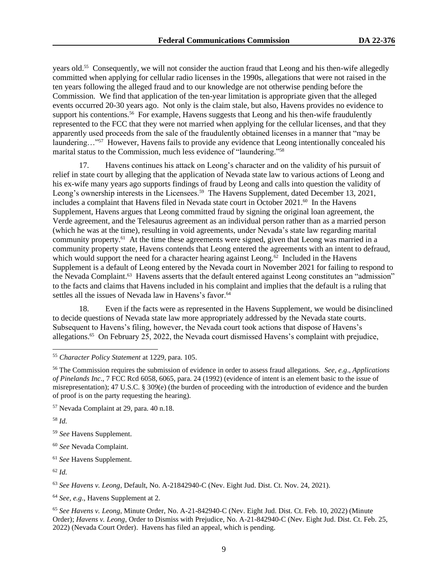years old.<sup>55</sup> Consequently, we will not consider the auction fraud that Leong and his then-wife allegedly committed when applying for cellular radio licenses in the 1990s, allegations that were not raised in the ten years following the alleged fraud and to our knowledge are not otherwise pending before the Commission. We find that application of the ten-year limitation is appropriate given that the alleged events occurred 20-30 years ago. Not only is the claim stale, but also, Havens provides no evidence to support his contentions.<sup>56</sup> For example, Havens suggests that Leong and his then-wife fraudulently represented to the FCC that they were not married when applying for the cellular licenses, and that they apparently used proceeds from the sale of the fraudulently obtained licenses in a manner that "may be laundering..."<sup>57</sup> However, Havens fails to provide any evidence that Leong intentionally concealed his marital status to the Commission, much less evidence of "laundering."<sup>58</sup>

17. Havens continues his attack on Leong's character and on the validity of his pursuit of relief in state court by alleging that the application of Nevada state law to various actions of Leong and his ex-wife many years ago supports findings of fraud by Leong and calls into question the validity of Leong's ownership interests in the Licensees.<sup>59</sup> The Havens Supplement, dated December 13, 2021, includes a complaint that Havens filed in Nevada state court in October 2021.<sup>60</sup> In the Havens Supplement, Havens argues that Leong committed fraud by signing the original loan agreement, the Verde agreement, and the Telesaurus agreement as an individual person rather than as a married person (which he was at the time), resulting in void agreements, under Nevada's state law regarding marital community property.<sup>61</sup> At the time these agreements were signed, given that Leong was married in a community property state, Havens contends that Leong entered the agreements with an intent to defraud, which would support the need for a character hearing against Leong.<sup>62</sup> Included in the Havens Supplement is a default of Leong entered by the Nevada court in November 2021 for failing to respond to the Nevada Complaint.<sup>63</sup> Havens asserts that the default entered against Leong constitutes an "admission" to the facts and claims that Havens included in his complaint and implies that the default is a ruling that settles all the issues of Nevada law in Havens's favor.<sup>64</sup>

18. Even if the facts were as represented in the Havens Supplement, we would be disinclined to decide questions of Nevada state law more appropriately addressed by the Nevada state courts. Subsequent to Havens's filing, however, the Nevada court took actions that dispose of Havens's allegations.<sup>65</sup> On February 25, 2022, the Nevada court dismissed Havens's complaint with prejudice,

<sup>58</sup> *Id.*

<sup>59</sup> *See* Havens Supplement.

<sup>61</sup> *See* Havens Supplement.

<sup>62</sup> *Id.*

<sup>63</sup> *See Havens v. Leong*, Default, No. A-21842940-C (Nev. Eight Jud. Dist. Ct. Nov. 24, 2021).

<sup>64</sup> *See, e.g*., Havens Supplement at 2.

<sup>65</sup> *See Havens v. Leong*, Minute Order, No. A-21-842940-C (Nev. Eight Jud. Dist. Ct. Feb. 10, 2022) (Minute Order); *Havens v. Leong*, Order to Dismiss with Prejudice, No. A-21-842940-C (Nev. Eight Jud. Dist. Ct. Feb. 25, 2022) (Nevada Court Order). Havens has filed an appeal, which is pending.

<sup>55</sup> *Character Policy Statement* at 1229, para. 105.

<sup>56</sup> The Commission requires the submission of evidence in order to assess fraud allegations. *See, e.g*., *Applications of Pinelands Inc*., 7 FCC Rcd 6058, 6065, para. 24 (1992) (evidence of intent is an element basic to the issue of misrepresentation); 47 U.S.C. § 309(e) (the burden of proceeding with the introduction of evidence and the burden of proof is on the party requesting the hearing).

<sup>57</sup> Nevada Complaint at 29, para. 40 n.18.

<sup>60</sup> *See* Nevada Complaint.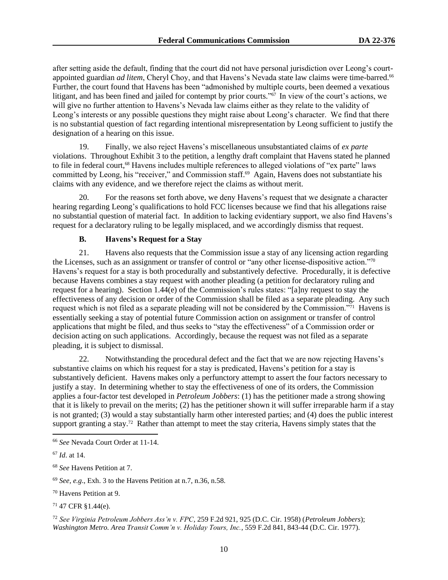after setting aside the default, finding that the court did not have personal jurisdiction over Leong's courtappointed guardian *ad litem*, Cheryl Choy, and that Havens's Nevada state law claims were time-barred.<sup>66</sup> Further, the court found that Havens has been "admonished by multiple courts, been deemed a vexatious litigant, and has been fined and jailed for contempt by prior courts."<sup>67</sup> In view of the court's actions, we will give no further attention to Havens's Nevada law claims either as they relate to the validity of Leong's interests or any possible questions they might raise about Leong's character. We find that there is no substantial question of fact regarding intentional misrepresentation by Leong sufficient to justify the designation of a hearing on this issue.

19. Finally, we also reject Havens's miscellaneous unsubstantiated claims of *ex parte* violations. Throughout Exhibit 3 to the petition, a lengthy draft complaint that Havens stated he planned to file in federal court,<sup>68</sup> Havens includes multiple references to alleged violations of "ex parte" laws committed by Leong, his "receiver," and Commission staff.<sup>69</sup> Again, Havens does not substantiate his claims with any evidence, and we therefore reject the claims as without merit.

20. For the reasons set forth above, we deny Havens's request that we designate a character hearing regarding Leong's qualifications to hold FCC licenses because we find that his allegations raise no substantial question of material fact. In addition to lacking evidentiary support, we also find Havens's request for a declaratory ruling to be legally misplaced, and we accordingly dismiss that request.

# **B. Havens's Request for a Stay**

21. Havens also requests that the Commission issue a stay of any licensing action regarding the Licenses, such as an assignment or transfer of control or "any other license-dispositive action."<sup>70</sup> Havens's request for a stay is both procedurally and substantively defective. Procedurally, it is defective because Havens combines a stay request with another pleading (a petition for declaratory ruling and request for a hearing). Section 1.44(e) of the Commission's rules states: "[a]ny request to stay the effectiveness of any decision or order of the Commission shall be filed as a separate pleading. Any such request which is not filed as a separate pleading will not be considered by the Commission."<sup>71</sup> Havens is essentially seeking a stay of potential future Commission action on assignment or transfer of control applications that might be filed, and thus seeks to "stay the effectiveness" of a Commission order or decision acting on such applications. Accordingly, because the request was not filed as a separate pleading, it is subject to dismissal.

22. Notwithstanding the procedural defect and the fact that we are now rejecting Havens's substantive claims on which his request for a stay is predicated, Havens's petition for a stay is substantively deficient. Havens makes only a perfunctory attempt to assert the four factors necessary to justify a stay. In determining whether to stay the effectiveness of one of its orders, the Commission applies a four-factor test developed in *Petroleum Jobbers*: (1) has the petitioner made a strong showing that it is likely to prevail on the merits; (2) has the petitioner shown it will suffer irreparable harm if a stay is not granted; (3) would a stay substantially harm other interested parties; and (4) does the public interest support granting a stay.<sup>72</sup> Rather than attempt to meet the stay criteria, Havens simply states that the

<sup>72</sup> *See Virginia Petroleum Jobbers Ass'n v. FPC*, 259 F.2d 921, 925 (D.C. Cir. 1958) (*Petroleum Jobbers*); *Washington Metro. Area Transit Comm'n v. Holiday Tours, Inc.*, 559 F.2d 841, 843-44 (D.C. Cir. 1977).

<sup>66</sup> *See* Nevada Court Order at 11-14.

<sup>67</sup> *Id*. at 14.

<sup>68</sup> *See* Havens Petition at 7.

<sup>69</sup> *See, e.g*., Exh. 3 to the Havens Petition at n.7, n.36, n.58.

<sup>70</sup> Havens Petition at 9.

<sup>71</sup> 47 CFR §1.44(e).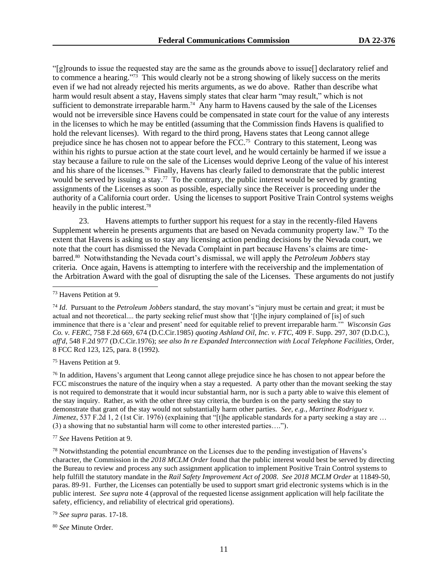"[g]rounds to issue the requested stay are the same as the grounds above to issue[] declaratory relief and to commence a hearing."<sup>73</sup> This would clearly not be a strong showing of likely success on the merits even if we had not already rejected his merits arguments, as we do above. Rather than describe what harm would result absent a stay, Havens simply states that clear harm "may result," which is not sufficient to demonstrate irreparable harm.<sup>74</sup> Any harm to Havens caused by the sale of the Licenses would not be irreversible since Havens could be compensated in state court for the value of any interests in the licenses to which he may be entitled (assuming that the Commission finds Havens is qualified to hold the relevant licenses). With regard to the third prong, Havens states that Leong cannot allege prejudice since he has chosen not to appear before the FCC.<sup>75</sup> Contrary to this statement, Leong was within his rights to pursue action at the state court level, and he would certainly be harmed if we issue a stay because a failure to rule on the sale of the Licenses would deprive Leong of the value of his interest and his share of the licenses.<sup>76</sup> Finally, Havens has clearly failed to demonstrate that the public interest would be served by issuing a stay.<sup>77</sup> To the contrary, the public interest would be served by granting assignments of the Licenses as soon as possible, especially since the Receiver is proceeding under the authority of a California court order. Using the licenses to support Positive Train Control systems weighs heavily in the public interest.<sup>78</sup>

23. Havens attempts to further support his request for a stay in the recently-filed Havens Supplement wherein he presents arguments that are based on Nevada community property law.<sup>79</sup> To the extent that Havens is asking us to stay any licensing action pending decisions by the Nevada court, we note that the court has dismissed the Nevada Complaint in part because Havens's claims are timebarred.<sup>80</sup> Notwithstanding the Nevada court's dismissal, we will apply the *Petroleum Jobbers* stay criteria. Once again, Havens is attempting to interfere with the receivership and the implementation of the Arbitration Award with the goal of disrupting the sale of the Licenses. These arguments do not justify

<sup>75</sup> Havens Petition at 9.

<sup>76</sup> In addition, Havens's argument that Leong cannot allege prejudice since he has chosen to not appear before the FCC misconstrues the nature of the inquiry when a stay a requested. A party other than the movant seeking the stay is not required to demonstrate that it would incur substantial harm, nor is such a party able to waive this element of the stay inquiry. Rather, as with the other three stay criteria, the burden is on the party seeking the stay to demonstrate that grant of the stay would not substantially harm other parties. *See, e.g.*, *Martinez Rodriguez v. Jimenez*, 537 F.2d 1, 2 (1st Cir. 1976) (explaining that "[t]he applicable standards for a party seeking a stay are ... (3) a showing that no substantial harm will come to other interested parties….").

<sup>78</sup> Notwithstanding the potential encumbrance on the Licenses due to the pending investigation of Havens's character, the Commission in the *2018 MCLM Order* found that the public interest would best be served by directing the Bureau to review and process any such assignment application to implement Positive Train Control systems to help fulfill the statutory mandate in the *Rail Safety Improvement Act of 2008*. *See 2018 MCLM Order* at 11849-50, paras. 89-91. Further, the Licenses can potentially be used to support smart grid electronic systems which is in the public interest. *See supra* note 4 (approval of the requested license assignment application will help facilitate the safety, efficiency, and reliability of electrical grid operations).

<sup>79</sup> *See supra* paras. 17-18.

<sup>80</sup> *See* Minute Order.

<sup>73</sup> Havens Petition at 9.

<sup>74</sup> *Id*. Pursuant to the *Petroleum Jobbers* standard, the stay movant's "injury must be certain and great; it must be actual and not theoretical.... the party seeking relief must show that '[t]he injury complained of [is] of such imminence that there is a 'clear and present' need for equitable relief to prevent irreparable harm.'" *Wisconsin Gas Co. v. FERC*, 758 F.2d 669, 674 (D.C.Cir.1985) *quoting Ashland Oil, Inc. v. FTC*, 409 F. Supp. 297, 307 (D.D.C.), *aff'd*, 548 F.2d 977 (D.C.Cir.1976); *see also In re Expanded Interconnection with Local Telephone Facilities*, Order, 8 FCC Rcd 123, 125, para. 8 (1992).

<sup>77</sup> *See* Havens Petition at 9.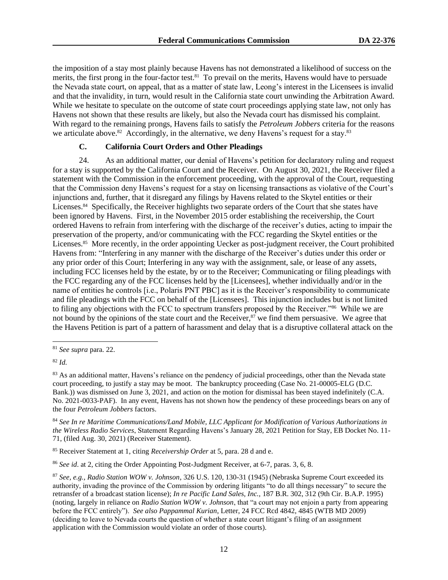the imposition of a stay most plainly because Havens has not demonstrated a likelihood of success on the merits, the first prong in the four-factor test.<sup>81</sup> To prevail on the merits, Havens would have to persuade the Nevada state court, on appeal, that as a matter of state law, Leong's interest in the Licensees is invalid and that the invalidity, in turn, would result in the California state court unwinding the Arbitration Award. While we hesitate to speculate on the outcome of state court proceedings applying state law, not only has Havens not shown that these results are likely, but also the Nevada court has dismissed his complaint. With regard to the remaining prongs, Havens fails to satisfy the *Petroleum Jobbers* criteria for the reasons we articulate above.<sup>82</sup> Accordingly, in the alternative, we deny Havens's request for a stay.<sup>83</sup>

## **C. California Court Orders and Other Pleadings**

24. As an additional matter, our denial of Havens's petition for declaratory ruling and request for a stay is supported by the California Court and the Receiver. On August 30, 2021, the Receiver filed a statement with the Commission in the enforcement proceeding, with the approval of the Court, requesting that the Commission deny Havens's request for a stay on licensing transactions as violative of the Court's injunctions and, further, that it disregard any filings by Havens related to the Skytel entities or their Licenses.<sup>84</sup> Specifically, the Receiver highlights two separate orders of the Court that she states have been ignored by Havens. First, in the November 2015 order establishing the receivership, the Court ordered Havens to refrain from interfering with the discharge of the receiver's duties, acting to impair the preservation of the property, and/or communicating with the FCC regarding the Skytel entities or the Licenses.<sup>85</sup> More recently, in the order appointing Uecker as post-judgment receiver, the Court prohibited Havens from: "Interfering in any manner with the discharge of the Receiver's duties under this order or any prior order of this Court; Interfering in any way with the assignment, sale, or lease of any assets, including FCC licenses held by the estate, by or to the Receiver; Communicating or filing pleadings with the FCC regarding any of the FCC licenses held by the [Licensees], whether individually and/or in the name of entities he controls [i.e., Polaris PNT PBC] as it is the Receiver's responsibility to communicate and file pleadings with the FCC on behalf of the [Licensees]. This injunction includes but is not limited to filing any objections with the FCC to spectrum transfers proposed by the Receiver."<sup>86</sup> While we are not bound by the opinions of the state court and the Receiver,<sup>87</sup> we find them persuasive. We agree that the Havens Petition is part of a pattern of harassment and delay that is a disruptive collateral attack on the

<sup>81</sup> *See supra* para. 22.

<sup>82</sup> *Id.*

<sup>&</sup>lt;sup>83</sup> As an additional matter, Havens's reliance on the pendency of judicial proceedings, other than the Nevada state court proceeding, to justify a stay may be moot. The bankruptcy proceeding (Case No. 21-00005-ELG (D.C. Bank.)) was dismissed on June 3, 2021, and action on the motion for dismissal has been stayed indefinitely (C.A. No. 2021-0033-PAF). In any event, Havens has not shown how the pendency of these proceedings bears on any of the four *Petroleum Jobbers* factors.

<sup>84</sup> *See In re Maritime Communications/Land Mobile, LLC Applicant for Modification of Various Authorizations in the Wireless Radio Services*, Statement Regarding Havens's January 28, 2021 Petition for Stay, EB Docket No. 11- 71, (filed Aug. 30, 2021) (Receiver Statement).

<sup>85</sup> Receiver Statement at 1, citing *Receivership Order* at 5, para. 28 d and e.

<sup>86</sup> *See id*. at 2, citing the Order Appointing Post-Judgment Receiver, at 6-7, paras. 3, 6, 8.

<sup>87</sup> *See, e.g., Radio Station WOW v. Johnson*, 326 U.S. 120, 130-31 (1945) (Nebraska Supreme Court exceeded its authority, invading the province of the Commission by ordering litigants "to do all things necessary" to secure the retransfer of a broadcast station license); *In re Pacific Land Sales, Inc.,* 187 B.R. 302, 312 (9th Cir. B.A.P. 1995) (noting, largely in reliance on *Radio Station WOW v. Johnson*, that "a court may not enjoin a party from appearing before the FCC entirely"). *See also Pappammal Kurian*, Letter, 24 FCC Rcd 4842, 4845 (WTB MD 2009) (deciding to leave to Nevada courts the question of whether a state court litigant's filing of an assignment application with the Commission would violate an order of those courts).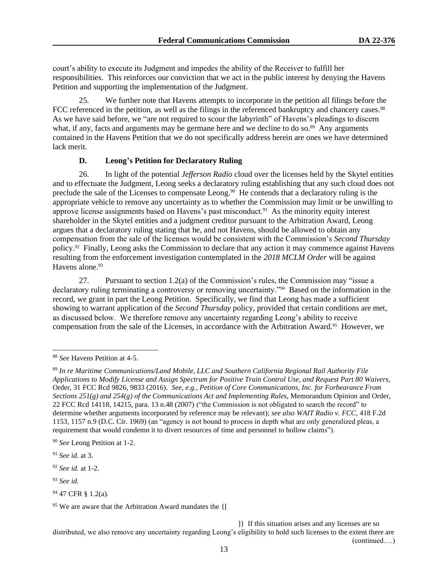court's ability to execute its Judgment and impedes the ability of the Receiver to fulfill her responsibilities. This reinforces our conviction that we act in the public interest by denying the Havens Petition and supporting the implementation of the Judgment.

25. We further note that Havens attempts to incorporate in the petition all filings before the FCC referenced in the petition, as well as the filings in the referenced bankruptcy and chancery cases.<sup>88</sup> As we have said before, we "are not required to scour the labyrinth" of Havens's pleadings to discern what, if any, facts and arguments may be germane here and we decline to do so.<sup>89</sup> Any arguments contained in the Havens Petition that we do not specifically address herein are ones we have determined lack merit.

#### **D. Leong's Petition for Declaratory Ruling**

26. In light of the potential *Jefferson Radio* cloud over the licenses held by the Skytel entities and to effectuate the Judgment, Leong seeks a declaratory ruling establishing that any such cloud does not preclude the sale of the Licenses to compensate Leong.<sup>90</sup> He contends that a declaratory ruling is the appropriate vehicle to remove any uncertainty as to whether the Commission may limit or be unwilling to approve license assignments based on Havens's past misconduct.<sup>91</sup> As the minority equity interest shareholder in the Skytel entities and a judgment creditor pursuant to the Arbitration Award, Leong argues that a declaratory ruling stating that he, and not Havens, should be allowed to obtain any compensation from the sale of the licenses would be consistent with the Commission's *Second Thursday* policy.<sup>92</sup> Finally, Leong asks the Commission to declare that any action it may commence against Havens resulting from the enforcement investigation contemplated in the *2018 MCLM Order* will be against Havens alone.<sup>93</sup>

27. Pursuant to section 1.2(a) of the Commission's rules, the Commission may "issue a declaratory ruling terminating a controversy or removing uncertainty."<sup>94</sup> Based on the information in the record, we grant in part the Leong Petition. Specifically, we find that Leong has made a sufficient showing to warrant application of the *Second Thursday* policy, provided that certain conditions are met, as discussed below. We therefore remove any uncertainty regarding Leong's ability to receive compensation from the sale of the Licenses, in accordance with the Arbitration Award.<sup>95</sup> However, we

]} If this situation arises and any licenses are so distributed, we also remove any uncertainty regarding Leong's eligibility to hold such licenses to the extent there are (continued….)

<sup>88</sup> *See* Havens Petition at 4-5.

<sup>89</sup> *In re Maritime Communications/Land Mobile, LLC and Southern California Regional Rail Authority File Applications to Modify License and Assign Spectrum for Positive Train Control Use, and Request Part 80 Waivers*, Order, 31 FCC Rcd 9826, 9833 (2016). *See, e.g., Petition of Core Communications, Inc. for Forbearance From Sections 251(g) and 254(g) of the Communications Act and Implementing Rules*, Memorandum Opinion and Order, 22 FCC Rcd 14118, 14215, para. 13 n.48 (2007) ("the Commission is not obligated to search the record" to determine whether arguments incorporated by reference may be relevant); *see also WAIT Radio v. FCC*, 418 F.2d 1153, 1157 n.9 (D.C. Cir. 1969) (an "agency is not bound to process in depth what are only generalized pleas, a requirement that would condemn it to divert resources of time and personnel to hollow claims").

<sup>90</sup> *See* Leong Petition at 1-2.

<sup>91</sup> *See id.* at 3.

<sup>92</sup> *See id.* at 1-2.

<sup>93</sup> *See id.* 

<sup>94</sup> 47 CFR § 1.2(a).

<sup>95</sup> We are aware that the Arbitration Award mandates the {[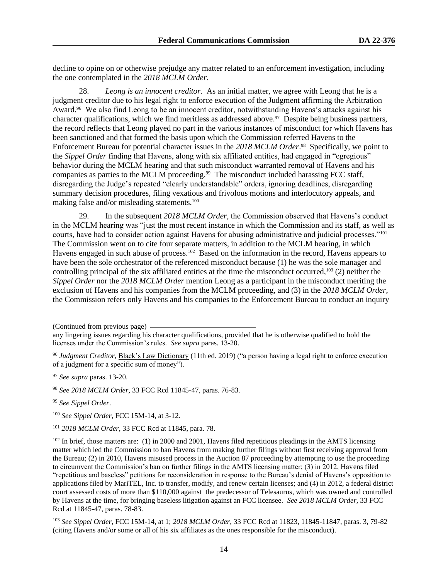decline to opine on or otherwise prejudge any matter related to an enforcement investigation, including the one contemplated in the *2018 MCLM Order*.

28. *Leong is an innocent creditor*. As an initial matter, we agree with Leong that he is a judgment creditor due to his legal right to enforce execution of the Judgment affirming the Arbitration Award.<sup>96</sup> We also find Leong to be an innocent creditor, notwithstanding Havens's attacks against his character qualifications, which we find meritless as addressed above.<sup>97</sup> Despite being business partners, the record reflects that Leong played no part in the various instances of misconduct for which Havens has been sanctioned and that formed the basis upon which the Commission referred Havens to the Enforcement Bureau for potential character issues in the *2018 MCLM Order*. 98 Specifically, we point to the *Sippel Order* finding that Havens, along with six affiliated entities, had engaged in "egregious" behavior during the MCLM hearing and that such misconduct warranted removal of Havens and his companies as parties to the MCLM proceeding.<sup>99</sup> The misconduct included harassing FCC staff, disregarding the Judge's repeated "clearly understandable" orders, ignoring deadlines, disregarding summary decision procedures, filing vexatious and frivolous motions and interlocutory appeals, and making false and/or misleading statements.<sup>100</sup>

29. In the subsequent *2018 MCLM Order*, the Commission observed that Havens's conduct in the MCLM hearing was "just the most recent instance in which the Commission and its staff, as well as courts, have had to consider action against Havens for abusing administrative and judicial processes."<sup>101</sup> The Commission went on to cite four separate matters, in addition to the MCLM hearing, in which Havens engaged in such abuse of process.<sup>102</sup> Based on the information in the record, Havens appears to have been the sole orchestrator of the referenced misconduct because (1) he was the sole manager and controlling principal of the six affiliated entities at the time the misconduct occurred,<sup>103</sup> (2) neither the *Sippel Order* nor the *2018 MCLM Order* mention Leong as a participant in the misconduct meriting the exclusion of Havens and his companies from the MCLM proceeding, and (3) in the *2018 MCLM Order*, the Commission refers only Havens and his companies to the Enforcement Bureau to conduct an inquiry

<sup>97</sup> *See supra* paras. 13-20.

<sup>98</sup> *See 2018 MCLM Order*, 33 FCC Rcd 11845-47, paras. 76-83.

<sup>99</sup> *See Sippel Order*.

<sup>100</sup> *See Sippel Order*, FCC 15M-14, at 3-12.

<sup>101</sup> *2018 MCLM Order*, 33 FCC Rcd at 11845, para. 78.

<sup>102</sup> In brief, those matters are: (1) in 2000 and 2001, Havens filed repetitious pleadings in the AMTS licensing matter which led the Commission to ban Havens from making further filings without first receiving approval from the Bureau; (2) in 2010, Havens misused process in the Auction 87 proceeding by attempting to use the proceeding to circumvent the Commission's ban on further filings in the AMTS licensing matter; (3) in 2012, Havens filed "repetitious and baseless" petitions for reconsideration in response to the Bureau's denial of Havens's opposition to applications filed by MariTEL, Inc. to transfer, modify, and renew certain licenses; and (4) in 2012, a federal district court assessed costs of more than \$110,000 against the predecessor of Telesaurus, which was owned and controlled by Havens at the time, for bringing baseless litigation against an FCC licensee. *See 2018 MCLM Order*, 33 FCC Rcd at 11845-47, paras. 78-83.

<sup>103</sup> *See Sippel Order*, FCC 15M-14, at 1; *2018 MCLM Order*, 33 FCC Rcd at 11823, 11845-11847, paras. 3, 79-82 (citing Havens and/or some or all of his six affiliates as the ones responsible for the misconduct).

<sup>(</sup>Continued from previous page)

any lingering issues regarding his character qualifications, provided that he is otherwise qualified to hold the licenses under the Commission's rules. *See supra* paras. 13-20.

<sup>96</sup> *Judgment Creditor*, Black's Law Dictionary (11th ed. 2019) ("a person having a legal right to enforce execution of a judgment for a specific sum of money").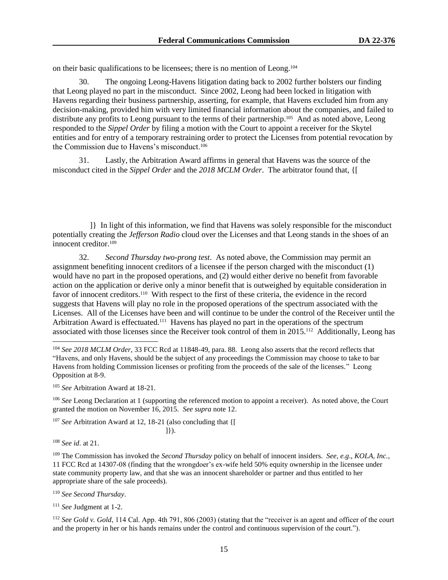on their basic qualifications to be licensees; there is no mention of Leong.<sup>104</sup>

30. The ongoing Leong-Havens litigation dating back to 2002 further bolsters our finding that Leong played no part in the misconduct. Since 2002, Leong had been locked in litigation with Havens regarding their business partnership, asserting, for example, that Havens excluded him from any decision-making, provided him with very limited financial information about the companies, and failed to distribute any profits to Leong pursuant to the terms of their partnership.<sup>105</sup> And as noted above, Leong responded to the *Sippel Order* by filing a motion with the Court to appoint a receiver for the Skytel entities and for entry of a temporary restraining order to protect the Licenses from potential revocation by the Commission due to Havens's misconduct.<sup>106</sup>

31. Lastly, the Arbitration Award affirms in general that Havens was the source of the misconduct cited in the *Sippel Order* and the *2018 MCLM Order*. The arbitrator found that, {[

]} In light of this information, we find that Havens was solely responsible for the misconduct potentially creating the *Jefferson Radio* cloud over the Licenses and that Leong stands in the shoes of an innocent creditor.<sup>109</sup>

32. *Second Thursday two-prong test*. As noted above, the Commission may permit an assignment benefiting innocent creditors of a licensee if the person charged with the misconduct (1) would have no part in the proposed operations, and (2) would either derive no benefit from favorable action on the application or derive only a minor benefit that is outweighed by equitable consideration in favor of innocent creditors.<sup>110</sup> With respect to the first of these criteria, the evidence in the record suggests that Havens will play no role in the proposed operations of the spectrum associated with the Licenses. All of the Licenses have been and will continue to be under the control of the Receiver until the Arbitration Award is effectuated.<sup>111</sup> Havens has played no part in the operations of the spectrum associated with those licenses since the Receiver took control of them in 2015.<sup>112</sup> Additionally, Leong has

<sup>106</sup> *See* Leong Declaration at 1 (supporting the referenced motion to appoint a receiver). As noted above, the Court granted the motion on November 16, 2015. *See supra* note 12.

<sup>107</sup> *See* Arbitration Award at 12, 18-21 (also concluding that {[ ]}).

<sup>108</sup> *See id*. at 21.

<sup>109</sup> The Commission has invoked the *Second Thursday* policy on behalf of innocent insiders. *See, e.g*., *KOLA, Inc.*, 11 FCC Rcd at 14307-08 (finding that the wrongdoer's ex-wife held 50% equity ownership in the licensee under state community property law, and that she was an innocent shareholder or partner and thus entitled to her appropriate share of the sale proceeds).

<sup>110</sup> *See Second Thursday*.

<sup>111</sup> *See* Judgment at 1-2.

<sup>112</sup> See Gold v. Gold, 114 Cal. App. 4th 791, 806 (2003) (stating that the "receiver is an agent and officer of the court and the property in her or his hands remains under the control and continuous supervision of the court.").

<sup>104</sup> *See 2018 MCLM Order*, 33 FCC Rcd at 11848-49, para. 88. Leong also asserts that the record reflects that "Havens, and only Havens, should be the subject of any proceedings the Commission may choose to take to bar Havens from holding Commission licenses or profiting from the proceeds of the sale of the licenses." Leong Opposition at 8-9.

<sup>105</sup> *See* Arbitration Award at 18-21.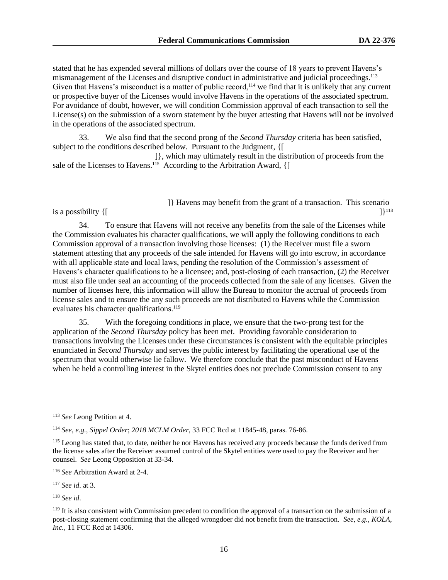stated that he has expended several millions of dollars over the course of 18 years to prevent Havens's mismanagement of the Licenses and disruptive conduct in administrative and judicial proceedings.<sup>113</sup> Given that Havens's misconduct is a matter of public record,<sup>114</sup> we find that it is unlikely that any current or prospective buyer of the Licenses would involve Havens in the operations of the associated spectrum. For avoidance of doubt, however, we will condition Commission approval of each transaction to sell the License(s) on the submission of a sworn statement by the buyer attesting that Havens will not be involved in the operations of the associated spectrum.

33. We also find that the second prong of the *Second Thursday* criteria has been satisfied, subject to the conditions described below. Pursuant to the Judgment, {[

]}, which may ultimately result in the distribution of proceeds from the sale of the Licenses to Havens.<sup>115</sup> According to the Arbitration Award, {[

> ]} Havens may benefit from the grant of a transaction. This scenario 1}118

34. To ensure that Havens will not receive any benefits from the sale of the Licenses while the Commission evaluates his character qualifications, we will apply the following conditions to each Commission approval of a transaction involving those licenses: (1) the Receiver must file a sworn statement attesting that any proceeds of the sale intended for Havens will go into escrow, in accordance with all applicable state and local laws, pending the resolution of the Commission's assessment of Havens's character qualifications to be a licensee; and, post-closing of each transaction, (2) the Receiver must also file under seal an accounting of the proceeds collected from the sale of any licenses. Given the number of licenses here, this information will allow the Bureau to monitor the accrual of proceeds from license sales and to ensure the any such proceeds are not distributed to Havens while the Commission evaluates his character qualifications.<sup>119</sup>

35. With the foregoing conditions in place, we ensure that the two-prong test for the application of the *Second Thursday* policy has been met. Providing favorable consideration to transactions involving the Licenses under these circumstances is consistent with the equitable principles enunciated in *Second Thursday* and serves the public interest by facilitating the operational use of the spectrum that would otherwise lie fallow. We therefore conclude that the past misconduct of Havens when he held a controlling interest in the Skytel entities does not preclude Commission consent to any

is a possibility  $\{$ [

<sup>117</sup> *See id*. at 3.

<sup>118</sup> *See id*.

<sup>113</sup> *See* Leong Petition at 4.

<sup>114</sup> *See, e.g*., *Sippel Order*; *2018 MCLM Order*, 33 FCC Rcd at 11845-48, paras. 76-86.

<sup>&</sup>lt;sup>115</sup> Leong has stated that, to date, neither he nor Havens has received any proceeds because the funds derived from the license sales after the Receiver assumed control of the Skytel entities were used to pay the Receiver and her counsel. *See* Leong Opposition at 33-34.

<sup>116</sup> *See* Arbitration Award at 2-4.

 $119$  It is also consistent with Commission precedent to condition the approval of a transaction on the submission of a post-closing statement confirming that the alleged wrongdoer did not benefit from the transaction. *See, e.g.*, *KOLA, Inc.*, 11 FCC Rcd at 14306.